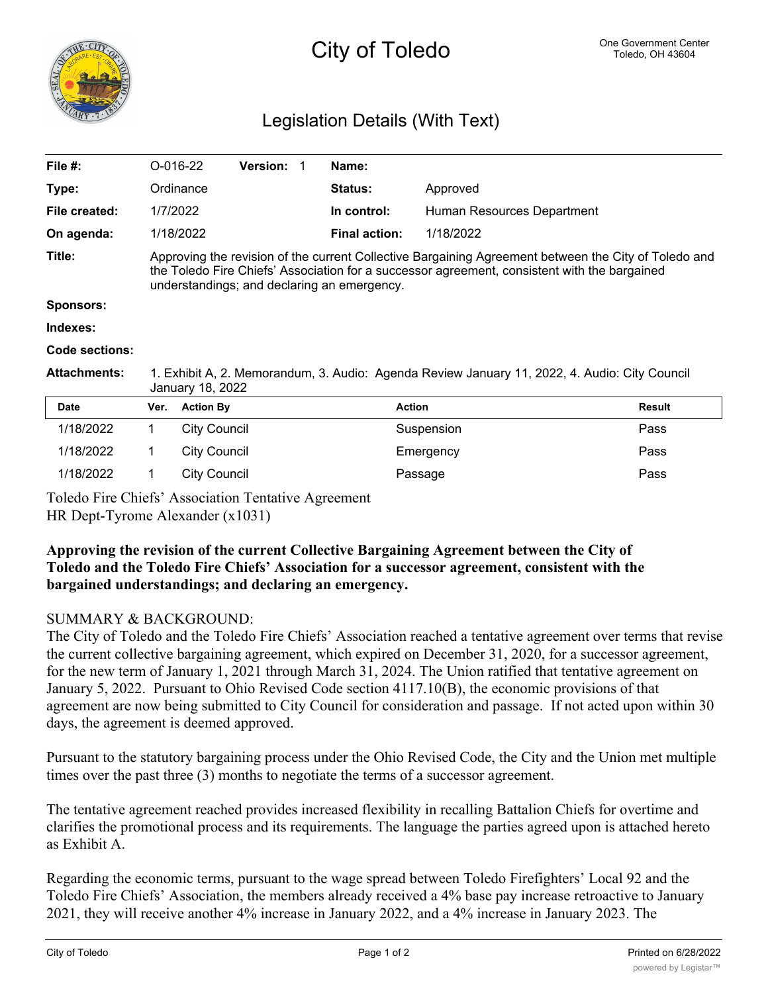

## City of Toledo One Government Center

## Legislation Details (With Text)

| File $#$ :          |                                                                                                                                                                                                                                                     | $O-016-22$       | <b>Version:</b> |  | Name:                |                            |               |
|---------------------|-----------------------------------------------------------------------------------------------------------------------------------------------------------------------------------------------------------------------------------------------------|------------------|-----------------|--|----------------------|----------------------------|---------------|
| Type:               |                                                                                                                                                                                                                                                     | Ordinance        |                 |  | <b>Status:</b>       | Approved                   |               |
| File created:       | 1/7/2022                                                                                                                                                                                                                                            |                  |                 |  | In control:          | Human Resources Department |               |
| On agenda:          |                                                                                                                                                                                                                                                     | 1/18/2022        |                 |  | <b>Final action:</b> | 1/18/2022                  |               |
| Title:              | Approving the revision of the current Collective Bargaining Agreement between the City of Toledo and<br>the Toledo Fire Chiefs' Association for a successor agreement, consistent with the bargained<br>understandings; and declaring an emergency. |                  |                 |  |                      |                            |               |
| <b>Sponsors:</b>    |                                                                                                                                                                                                                                                     |                  |                 |  |                      |                            |               |
| Indexes:            |                                                                                                                                                                                                                                                     |                  |                 |  |                      |                            |               |
| Code sections:      |                                                                                                                                                                                                                                                     |                  |                 |  |                      |                            |               |
| <b>Attachments:</b> | 1. Exhibit A, 2. Memorandum, 3. Audio: Agenda Review January 11, 2022, 4. Audio: City Council<br>January 18, 2022                                                                                                                                   |                  |                 |  |                      |                            |               |
| <b>Date</b>         | Ver.                                                                                                                                                                                                                                                | <b>Action By</b> |                 |  | <b>Action</b>        |                            | <b>Result</b> |
| 1/18/2022           | 1                                                                                                                                                                                                                                                   | City Council     |                 |  |                      | Suspension                 | Pass          |

1/18/2022 1 City Council 2008 Passage Passage Pass

Toledo Fire Chiefs' Association Tentative Agreement

HR Dept-Tyrome Alexander (x1031)

## **Approving the revision of the current Collective Bargaining Agreement between the City of Toledo and the Toledo Fire Chiefs' Association for a successor agreement, consistent with the bargained understandings; and declaring an emergency.**

1/18/2022 1 City Council Emergency Pass

## SUMMARY & BACKGROUND:

The City of Toledo and the Toledo Fire Chiefs' Association reached a tentative agreement over terms that revise the current collective bargaining agreement, which expired on December 31, 2020, for a successor agreement, for the new term of January 1, 2021 through March 31, 2024. The Union ratified that tentative agreement on January 5, 2022. Pursuant to Ohio Revised Code section 4117.10(B), the economic provisions of that agreement are now being submitted to City Council for consideration and passage. If not acted upon within 30 days, the agreement is deemed approved.

Pursuant to the statutory bargaining process under the Ohio Revised Code, the City and the Union met multiple times over the past three (3) months to negotiate the terms of a successor agreement.

The tentative agreement reached provides increased flexibility in recalling Battalion Chiefs for overtime and clarifies the promotional process and its requirements. The language the parties agreed upon is attached hereto as Exhibit A.

Regarding the economic terms, pursuant to the wage spread between Toledo Firefighters' Local 92 and the Toledo Fire Chiefs' Association, the members already received a 4% base pay increase retroactive to January 2021, they will receive another 4% increase in January 2022, and a 4% increase in January 2023. The